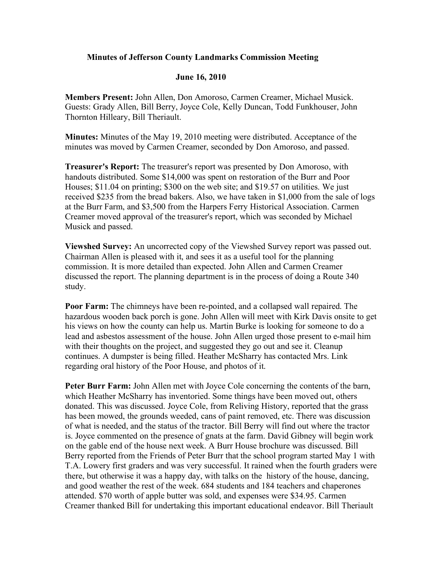## **Minutes of Jefferson County Landmarks Commission Meeting**

## **June 16, 2010**

**Members Present:** John Allen, Don Amoroso, Carmen Creamer, Michael Musick. Guests: Grady Allen, Bill Berry, Joyce Cole, Kelly Duncan, Todd Funkhouser, John Thornton Hilleary, Bill Theriault.

**Minutes:** Minutes of the May 19, 2010 meeting were distributed. Acceptance of the minutes was moved by Carmen Creamer, seconded by Don Amoroso, and passed.

**Treasurer's Report:** The treasurer's report was presented by Don Amoroso, with handouts distributed. Some \$14,000 was spent on restoration of the Burr and Poor Houses; \$11.04 on printing; \$300 on the web site; and \$19.57 on utilities. We just received \$235 from the bread bakers. Also, we have taken in \$1,000 from the sale of logs at the Burr Farm, and \$3,500 from the Harpers Ferry Historical Association. Carmen Creamer moved approval of the treasurer's report, which was seconded by Michael Musick and passed.

**Viewshed Survey:** An uncorrected copy of the Viewshed Survey report was passed out. Chairman Allen is pleased with it, and sees it as a useful tool for the planning commission. It is more detailed than expected. John Allen and Carmen Creamer discussed the report. The planning department is in the process of doing a Route 340 study.

**Poor Farm:** The chimneys have been re-pointed, and a collapsed wall repaired. The hazardous wooden back porch is gone. John Allen will meet with Kirk Davis onsite to get his views on how the county can help us. Martin Burke is looking for someone to do a lead and asbestos assessment of the house. John Allen urged those present to e-mail him with their thoughts on the project, and suggested they go out and see it. Cleanup continues. A dumpster is being filled. Heather McSharry has contacted Mrs. Link regarding oral history of the Poor House, and photos of it.

Peter Burr Farm: John Allen met with Joyce Cole concerning the contents of the barn, which Heather McSharry has inventoried. Some things have been moved out, others donated. This was discussed. Joyce Cole, from Reliving History, reported that the grass has been mowed, the grounds weeded, cans of paint removed, etc. There was discussion of what is needed, and the status of the tractor. Bill Berry will find out where the tractor is. Joyce commented on the presence of gnats at the farm. David Gibney will begin work on the gable end of the house next week. A Burr House brochure was discussed. Bill Berry reported from the Friends of Peter Burr that the school program started May 1 with T.A. Lowery first graders and was very successful. It rained when the fourth graders were there, but otherwise it was a happy day, with talks on the history of the house, dancing, and good weather the rest of the week. 684 students and 184 teachers and chaperones attended. \$70 worth of apple butter was sold, and expenses were \$34.95. Carmen Creamer thanked Bill for undertaking this important educational endeavor. Bill Theriault